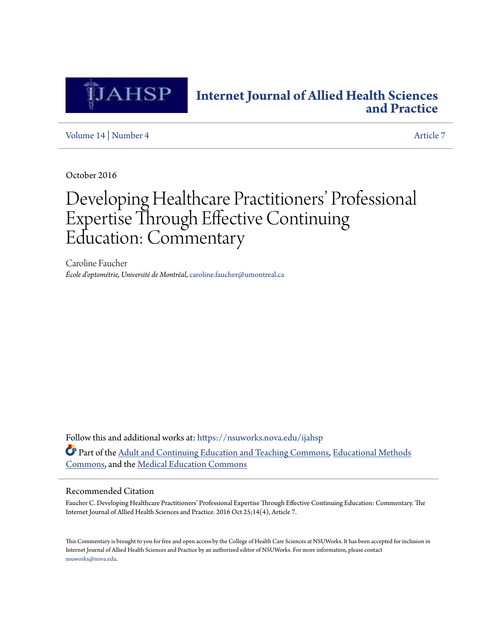

## **[Internet Journal of Allied Health Sciences](https://nsuworks.nova.edu/ijahsp?utm_source=nsuworks.nova.edu%2Fijahsp%2Fvol14%2Fiss4%2F7&utm_medium=PDF&utm_campaign=PDFCoverPages) [and Practice](https://nsuworks.nova.edu/ijahsp?utm_source=nsuworks.nova.edu%2Fijahsp%2Fvol14%2Fiss4%2F7&utm_medium=PDF&utm_campaign=PDFCoverPages)**

[Volume 14](https://nsuworks.nova.edu/ijahsp/vol14?utm_source=nsuworks.nova.edu%2Fijahsp%2Fvol14%2Fiss4%2F7&utm_medium=PDF&utm_campaign=PDFCoverPages) | [Number 4](https://nsuworks.nova.edu/ijahsp/vol14/iss4?utm_source=nsuworks.nova.edu%2Fijahsp%2Fvol14%2Fiss4%2F7&utm_medium=PDF&utm_campaign=PDFCoverPages) [Article 7](https://nsuworks.nova.edu/ijahsp/vol14/iss4/7?utm_source=nsuworks.nova.edu%2Fijahsp%2Fvol14%2Fiss4%2F7&utm_medium=PDF&utm_campaign=PDFCoverPages)

October 2016

# Developing Healthcare Practitioners' Professional Expertise Through Effective Continuing Education: Commentary

Caroline Faucher *École d'optométrie, Université de Montréal*, caroline.faucher@umontreal.ca

Follow this and additional works at: [https://nsuworks.nova.edu/ijahsp](https://nsuworks.nova.edu/ijahsp?utm_source=nsuworks.nova.edu%2Fijahsp%2Fvol14%2Fiss4%2F7&utm_medium=PDF&utm_campaign=PDFCoverPages) Part of the [Adult and Continuing Education and Teaching Commons](http://network.bepress.com/hgg/discipline/804?utm_source=nsuworks.nova.edu%2Fijahsp%2Fvol14%2Fiss4%2F7&utm_medium=PDF&utm_campaign=PDFCoverPages), [Educational Methods](http://network.bepress.com/hgg/discipline/1227?utm_source=nsuworks.nova.edu%2Fijahsp%2Fvol14%2Fiss4%2F7&utm_medium=PDF&utm_campaign=PDFCoverPages) [Commons,](http://network.bepress.com/hgg/discipline/1227?utm_source=nsuworks.nova.edu%2Fijahsp%2Fvol14%2Fiss4%2F7&utm_medium=PDF&utm_campaign=PDFCoverPages) and the [Medical Education Commons](http://network.bepress.com/hgg/discipline/1125?utm_source=nsuworks.nova.edu%2Fijahsp%2Fvol14%2Fiss4%2F7&utm_medium=PDF&utm_campaign=PDFCoverPages)

### Recommended Citation

Faucher C. Developing Healthcare Practitioners' Professional Expertise Through Effective Continuing Education: Commentary. The Internet Journal of Allied Health Sciences and Practice. 2016 Oct 25;14(4), Article 7.

This Commentary is brought to you for free and open access by the College of Health Care Sciences at NSUWorks. It has been accepted for inclusion in Internet Journal of Allied Health Sciences and Practice by an authorized editor of NSUWorks. For more information, please contact [nsuworks@nova.edu.](mailto:nsuworks@nova.edu)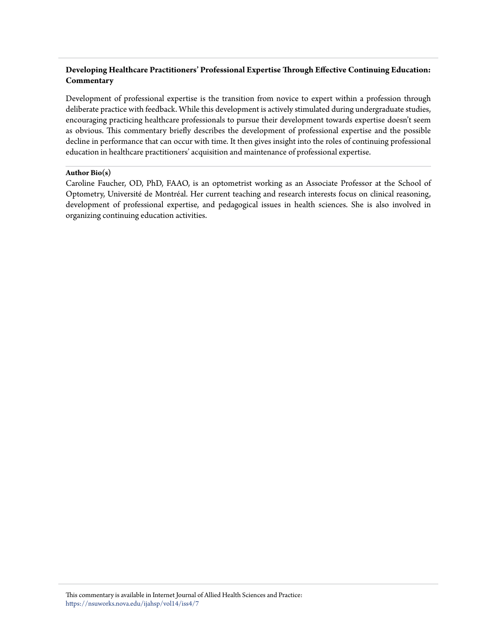## **Developing Healthcare Practitioners' Professional Expertise Through Effective Continuing Education: Commentary**

Development of professional expertise is the transition from novice to expert within a profession through deliberate practice with feedback. While this development is actively stimulated during undergraduate studies, encouraging practicing healthcare professionals to pursue their development towards expertise doesn't seem as obvious. This commentary briefly describes the development of professional expertise and the possible decline in performance that can occur with time. It then gives insight into the roles of continuing professional education in healthcare practitioners' acquisition and maintenance of professional expertise.

#### **Author Bio(s)**

Caroline Faucher, OD, PhD, FAAO, is an optometrist working as an Associate Professor at the School of Optometry, Université de Montréal. Her current teaching and research interests focus on clinical reasoning, development of professional expertise, and pedagogical issues in health sciences. She is also involved in organizing continuing education activities.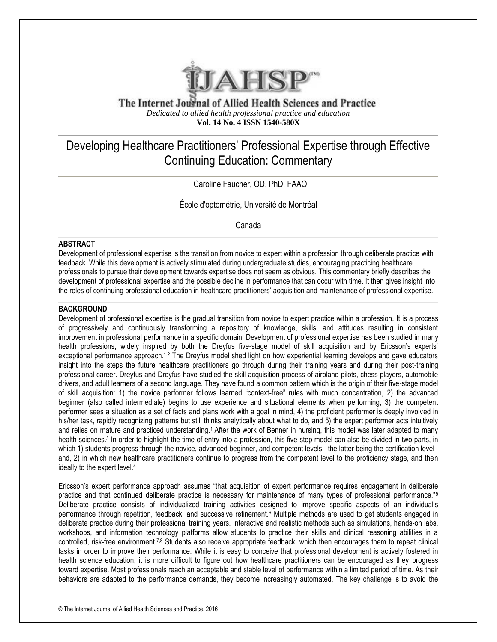

The Internet Journal of Allied Health Sciences and Practice *Dedicated to allied health professional practice and education* **Vol. 14 No. 4 ISSN 1540-580X**

# Developing Healthcare Practitioners' Professional Expertise through Effective Continuing Education: Commentary

Caroline Faucher, OD, PhD, FAAO

École d'optométrie, Université de Montréal

Canada

#### **ABSTRACT**

Development of professional expertise is the transition from novice to expert within a profession through deliberate practice with feedback. While this development is actively stimulated during undergraduate studies, encouraging practicing healthcare professionals to pursue their development towards expertise does not seem as obvious. This commentary briefly describes the development of professional expertise and the possible decline in performance that can occur with time. It then gives insight into the roles of continuing professional education in healthcare practitioners' acquisition and maintenance of professional expertise.

#### **BACKGROUND**

Development of professional expertise is the gradual transition from novice to expert practice within a profession. It is a process of progressively and continuously transforming a repository of knowledge, skills, and attitudes resulting in consistent improvement in professional performance in a specific domain. Development of professional expertise has been studied in many health professions, widely inspired by both the Dreyfus five-stage model of skill acquisition and by Ericsson's experts' exceptional performance approach.<sup>1,2</sup> The Dreyfus model shed light on how experiential learning develops and gave educators insight into the steps the future healthcare practitioners go through during their training years and during their post-training professional career. Dreyfus and Dreyfus have studied the skill-acquisition process of airplane pilots, chess players, automobile drivers, and adult learners of a second language. They have found a common pattern which is the origin of their five-stage model of skill acquisition: 1) the novice performer follows learned "context-free" rules with much concentration, 2) the advanced beginner (also called intermediate) begins to use experience and situational elements when performing, 3) the competent performer sees a situation as a set of facts and plans work with a goal in mind, 4) the proficient performer is deeply involved in his/her task, rapidly recognizing patterns but still thinks analytically about what to do, and 5) the expert performer acts intuitively and relies on mature and practiced understanding.1 After the work of Benner in nursing, this model was later adapted to many health sciences.<sup>3</sup> In order to highlight the time of entry into a profession, this five-step model can also be divided in two parts, in which 1) students progress through the novice, advanced beginner, and competent levels –the latter being the certification level– and, 2) in which new healthcare practitioners continue to progress from the competent level to the proficiency stage, and then ideally to the expert level.<sup>4</sup>

Ericsson's expert performance approach assumes "that acquisition of expert performance requires engagement in deliberate practice and that continued deliberate practice is necessary for maintenance of many types of professional performance."<sup>5</sup> Deliberate practice consists of individualized training activities designed to improve specific aspects of an individual's performance through repetition, feedback, and successive refinement.<sup>6</sup> Multiple methods are used to get students engaged in deliberate practice during their professional training years. Interactive and realistic methods such as simulations, hands-on labs, workshops, and information technology platforms allow students to practice their skills and clinical reasoning abilities in a controlled, risk-free environment.<sup>7,8</sup> Students also receive appropriate feedback, which then encourages them to repeat clinical tasks in order to improve their performance. While it is easy to conceive that professional development is actively fostered in health science education, it is more difficult to figure out how healthcare practitioners can be encouraged as they progress toward expertise. Most professionals reach an acceptable and stable level of performance within a limited period of time. As their behaviors are adapted to the performance demands, they become increasingly automated. The key challenge is to avoid the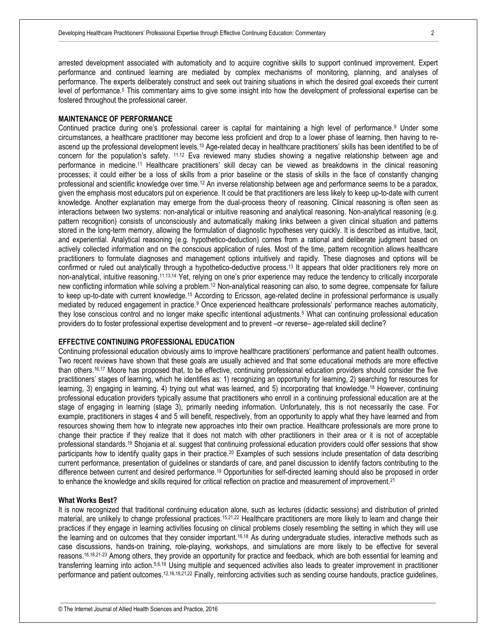arrested development associated with automaticity and to acquire cognitive skills to support continued improvement. Expert performance and continued learning are mediated by complex mechanisms of monitoring, planning, and analyses of performance. The experts deliberately construct and seek out training situations in which the desired goal exceeds their current level of performance.<sup>5</sup> This commentary aims to give some insight into how the development of professional expertise can be fostered throughout the professional career.

#### **MAINTENANCE OF PERFORMANCE**

Continued practice during one's professional career is capital for maintaining a high level of performance.<sup>9</sup> Under some circumstances, a healthcare practitioner may become less proficient and drop to a lower phase of learning, then having to reascend up the professional development levels.<sup>10</sup> Age-related decay in healthcare practitioners' skills has been identified to be of concern for the population's safety. 11,12 Eva reviewed many studies showing a negative relationship between age and performance in medicine.<sup>11</sup> Healthcare practitioners' skill decay can be viewed as breakdowns in the clinical reasoning processes; it could either be a loss of skills from a prior baseline or the stasis of skills in the face of constantly changing professional and scientific knowledge over time.<sup>12</sup> An inverse relationship between age and performance seems to be a paradox, given the emphasis most educators put on experience. It could be that practitioners are less likely to keep up-to-date with current knowledge. Another explanation may emerge from the dual-process theory of reasoning. Clinical reasoning is often seen as interactions between two systems: non-analytical or intuitive reasoning and analytical reasoning. Non-analytical reasoning (e.g. pattern recognition) consists of unconsciously and automatically making links between a given clinical situation and patterns stored in the long-term memory, allowing the formulation of diagnostic hypotheses very quickly. It is described as intuitive, tacit, and experiential. Analytical reasoning (e.g. hypothetico-deduction) comes from a rational and deliberate judgment based on actively collected information and on the conscious application of rules. Most of the time, pattern recognition allows healthcare practitioners to formulate diagnoses and management options intuitively and rapidly. These diagnoses and options will be confirmed or ruled out analytically through a hypothetico-deductive process.<sup>13</sup> It appears that older practitioners rely more on non-analytical, intuitive reasoning.11,13,14 Yet, relying on one's prior experience may reduce the tendency to critically incorporate new conflicting information while solving a problem.<sup>12</sup> Non-analytical reasoning can also, to some degree, compensate for failure to keep up-to-date with current knowledge.<sup>15</sup> According to Ericsson, age-related decline in professional performance is usually mediated by reduced engagement in practice.<sup>9</sup> Once experienced healthcare professionals' performance reaches automaticity, they lose conscious control and no longer make specific intentional adjustments.<sup>5</sup> What can continuing professional education providers do to foster professional expertise development and to prevent –or reverse– age-related skill decline?

#### **EFFECTIVE CONTINUING PROFESSIONAL EDUCATION**

Continuing professional education obviously aims to improve healthcare practitioners' performance and patient health outcomes. Two recent reviews have shown that these goals are usually achieved and that some educational methods are more effective than others.16,17 Moore has proposed that, to be effective, continuing professional education providers should consider the five practitioners' stages of learning, which he identifies as: 1) recognizing an opportunity for learning, 2) searching for resources for learning, 3) engaging in learning, 4) trying out what was learned, and 5) incorporating that knowledge.<sup>18</sup> However, continuing professional education providers typically assume that practitioners who enroll in a continuing professional education are at the stage of engaging in learning (stage 3), primarily needing information. Unfortunately, this is not necessarily the case. For example, practitioners in stages 4 and 5 will benefit, respectively, from an opportunity to apply what they have learned and from resources showing them how to integrate new approaches into their own practice. Healthcare professionals are more prone to change their practice if they realize that it does not match with other practitioners in their area or it is not of acceptable professional standards.<sup>19</sup> Shojania et al. suggest that continuing professional education providers could offer sessions that show participants how to identify quality gaps in their practice.<sup>20</sup> Examples of such sessions include presentation of data describing current performance, presentation of guidelines or standards of care, and panel discussion to identify factors contributing to the difference between current and desired performance.<sup>19</sup> Opportunities for self-directed learning should also be proposed in order to enhance the knowledge and skills required for critical reflection on practice and measurement of improvement.<sup>21</sup>

#### **What Works Best?**

It is now recognized that traditional continuing education alone, such as lectures (didactic sessions) and distribution of printed material, are unlikely to change professional practices.<sup>15,21,22</sup> Healthcare practitioners are more likely to learn and change their practices if they engage in learning activities focusing on clinical problems closely resembling the setting in which they will use the learning and on outcomes that they consider important.16,18 As during undergraduate studies, interactive methods such as case discussions, hands-on training, role-playing, workshops, and simulations are more likely to be effective for several reasons.16,18,21-23 Among others, they provide an opportunity for practice and feedback, which are both essential for learning and transferring learning into action.5,6,18 Using multiple and sequenced activities also leads to greater improvement in practitioner performance and patient outcomes.12,16,18,21,22 Finally, reinforcing activities such as sending course handouts, practice guidelines,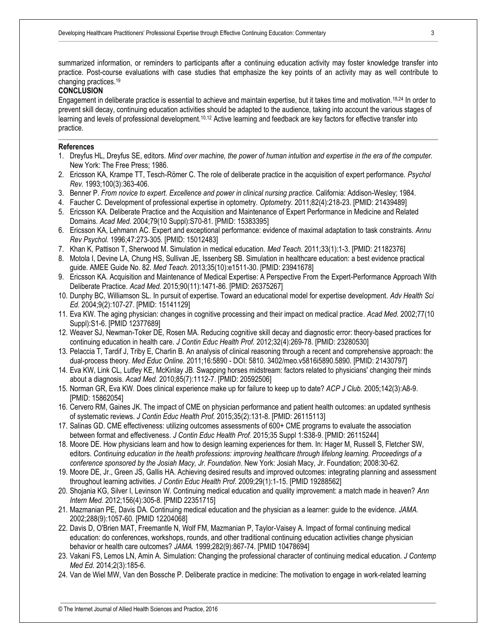summarized information, or reminders to participants after a continuing education activity may foster knowledge transfer into practice. Post-course evaluations with case studies that emphasize the key points of an activity may as well contribute to changing practices.<sup>19</sup>

#### **CONCLUSION**

Engagement in deliberate practice is essential to achieve and maintain expertise, but it takes time and motivation.18,24 In order to prevent skill decay, continuing education activities should be adapted to the audience, taking into account the various stages of learning and levels of professional development.10,12 Active learning and feedback are key factors for effective transfer into practice.

#### **References**

- 1. Dreyfus HL, Dreyfus SE, editors. *Mind over machine, the power of human intuition and expertise in the era of the computer.* New York: The Free Press; 1986.
- 2. Ericsson KA, Krampe TT, Tesch-Römer C. The role of deliberate practice in the acquisition of expert performance. *Psychol Rev.* 1993;100(3):363-406.
- 3. Benner P. *From novice to expert. Excellence and power in clinical nursing practice.* California: Addison-Wesley; 1984.
- 4. Faucher C. Development of professional expertise in optometry. *Optometry.* 2011;82(4):218-23. [PMID: 21439489]
- 5. Ericsson KA. Deliberate Practice and the Acquisition and Maintenance of Expert Performance in Medicine and Related Domains. *Acad Med.* 2004;79(10 Suppl):S70-81. [PMID: 15383395]
- 6. Ericsson KA, Lehmann AC. Expert and exceptional performance: evidence of maximal adaptation to task constraints. *Annu Rev Psychol.* 1996;47:273-305. [PMID: 15012483]
- 7. Khan K, Pattison T, Sherwood M. Simulation in medical education. *Med Teach.* 2011;33(1):1-3. [PMID: 21182376]
- 8. Motola I, Devine LA, Chung HS, Sullivan JE, Issenberg SB. Simulation in healthcare education: a best evidence practical guide. AMEE Guide No. 82. *Med Teach.* 2013;35(10):e1511-30. [PMID: 23941678]
- 9. Ericsson KA. Acquisition and Maintenance of Medical Expertise: A Perspective From the Expert-Performance Approach With Deliberate Practice. *Acad Med.* 2015;90(11):1471-86. [PMID: 26375267]
- 10. Dunphy BC, Williamson SL. In pursuit of expertise. Toward an educational model for expertise development. *Adv Health Sci Ed.* 2004;9(2):107-27. [PMID: 15141129]
- 11. Eva KW. The aging physician: changes in cognitive processing and their impact on medical practice. *Acad Med.* 2002;77(10 Suppl):S1-6. [PMID 12377689]
- 12. Weaver SJ, Newman-Toker DE, Rosen MA. Reducing cognitive skill decay and diagnostic error: theory-based practices for continuing education in health care. *J Contin Educ Health Prof.* 2012;32(4):269-78. [PMID: 23280530]
- 13. Pelaccia T, Tardif J, Triby E, Charlin B. An analysis of clinical reasoning through a recent and comprehensive approach: the dual-process theory. *Med Educ Online.* 2011;16:5890 - DOI: 5810. 3402/meo.v5816i5890.5890. [PMID: 21430797]
- 14. Eva KW, Link CL, Lutfey KE, McKinlay JB. Swapping horses midstream: factors related to physicians' changing their minds about a diagnosis. *Acad Med.* 2010;85(7):1112-7. [PMID: 20592506]
- 15. Norman GR, Eva KW. Does clinical experience make up for failure to keep up to date? *ACP J Club.* 2005;142(3):A8-9. [PMID: 15862054]
- 16. Cervero RM, Gaines JK. The impact of CME on physician performance and patient health outcomes: an updated synthesis of systematic reviews. *J Contin Educ Health Prof.* 2015;35(2):131-8. [PMID: 26115113]
- 17. Salinas GD. CME effectiveness: utilizing outcomes assessments of 600+ CME programs to evaluate the association between format and effectiveness. *J Contin Educ Health Prof.* 2015;35 Suppl 1:S38-9. [PMID: 26115244]
- 18. Moore DE. How physicians learn and how to design learning experiences for them. In: Hager M, Russell S, Fletcher SW, editors. *Continuing education in the health professions: improving healthcare through lifelong learning. Proceedings of a conference sponsored by the Josiah Macy, Jr. Foundation*. New York: Josiah Macy, Jr. Foundation; 2008:30-62.
- 19. Moore DE, Jr., Green JS, Gallis HA. Achieving desired results and improved outcomes: integrating planning and assessment throughout learning activities. *J Contin Educ Health Prof.* 2009;29(1):1-15. [PMID 19288562]
- 20. Shojania KG, Silver I, Levinson W. Continuing medical education and quality improvement: a match made in heaven? *Ann Intern Med.* 2012;156(4):305-8. [PMID 22351715]
- 21. Mazmanian PE, Davis DA. Continuing medical education and the physician as a learner: guide to the evidence. *JAMA.*  2002;288(9):1057-60. [PMID 12204068]
- 22. Davis D, O'Brien MAT, Freemantle N, Wolf FM, Mazmanian P, Taylor-Vaisey A. Impact of formal continuing medical education: do conferences, workshops, rounds, and other traditional continuing education activities change physician behavior or health care outcomes? *JAMA.* 1999;282(9):867-74. [PMID 10478694]
- 23. Vakani FS, Lemos LN, Amin A. Simulation: Changing the professional character of continuing medical education. *J Contemp Med Ed.* 2014;2(3):185-6.
- 24. Van de Wiel MW, Van den Bossche P. Deliberate practice in medicine: The motivation to engage in work-related learning